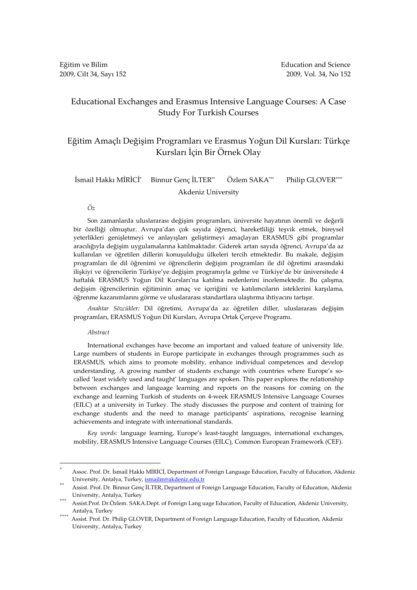# Educational Exchanges and Erasmus Intensive Language Courses: A Case Study For Turkish Courses

# Eğitim Amaçlı Değişim Programları ve Erasmus Yoğun Dil Kursları: Türkçe Kursları İçin Bir Örnek Olay

### İsmail Hakkı MİRİCİ\* Binnur Genç İLTER\*\* Özlem SAKA\*\*\* Philip GLOVER\*\*\*\* Akdeniz University

# Öz

Son zamanlarda uluslararası değişim programları, üniversite hayatının önemli ve değerli bir özelliği olmuştur. Avrupa'dan çok sayıda öğrenci, hareketliliği teşvik etmek, bireysel yeterlikleri genişletmeyi ve anlayışları geliştirmeyi amaçlayan ERASMUS gibi programlar aracılığıyla değişim uygulamalarına katılmaktadır. Giderek artan sayıda öğrenci, Avrupa'da az kullanılan ve öğretilen dillerin konuşulduğu ülkeleri tercih etmektedir. Bu makale, değişim programları ile dil öğrenimi ve öğrencilerin değişim programları ile dil öğretimi arasındaki ilişkiyi ve öğrencilerin Türkiye'ye değişim programıyla gelme ve Türkiye'de bir üniversitede 4 haftalık ERASMUS Yoğun Dil Kursları'na katılma nedenlerini incelemektedir. Bu çalışma, değişim öğrencilerinin eğitiminin amaç ve içeriğini ve katılımcıların isteklerini karşılama, öğrenme kazanımlarını görme ve uluslararası standartlara ulaştırma ihtiyacını tartışır.

Anahtar Sözcükler: Dil öğretimi, Avrupa'da az öğretilen diller, uluslararası değişim programları, ERASMUS Yoğun Dil Kursları, Avrupa Ortak Çerçeve Programı.

### Abstract

 $\overline{a}$ 

International exchanges have become an important and valued feature of university life. Large numbers of students in Europe participate in exchanges through programmes such as ERASMUS, which aims to promote mobility, enhance individual competences and develop understanding. A growing number of students exchange with countries where Europe's socalled 'least widely used and taught' languages are spoken. This paper explores the relationship between exchanges and language learning and reports on the reasons for coming on the exchange and learning Turkish of students on 4-week ERASMUS Intensive Language Courses (EILC) at a university in Turkey. The study discusses the purpose and content of training for exchange students and the need to manage participants' aspirations, recognise learning achievements and integrate with international standards.

Key words: language learning, Europe's least-taught languages, international exchanges, mobility, ERASMUS Intensive Language Courses (EILC), Common European Framework (CEF).

<sup>\*</sup> Assoc. Prof. Dr. İsmail Hakkı MİRİCİ, Department of Foreign Language Education, Faculty of Education, Akdeniz University, Antalya, Turkey, ismailm@akdeniz.edu.tr

<sup>\*\*</sup> Assist. Prof. Dr. Binnur Genç İLTER, Department of Foreign Language Education, Faculty of Education, Akdeniz University, Antalya, Turkey

<sup>\*\*\*</sup> Assist.Prof. Dr.Özlem. SAKA.Dept. of Foreign Lang uage Education, Faculty of Education, Akdeniz University, Antalya, Turkey

Assist. Prof. Dr. Philip GLOVER, Department of Foreign Language Education, Faculty of Education, Akdeniz University, Antalya, Turkey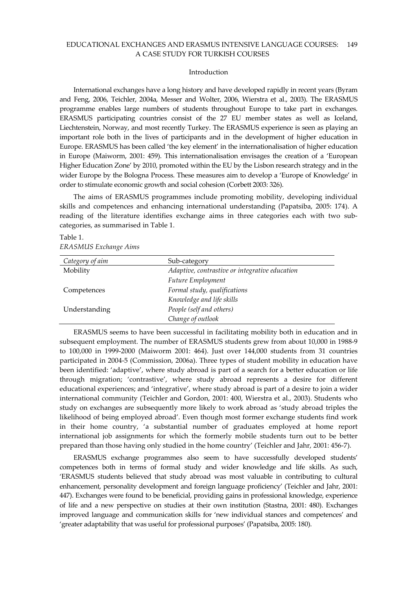### Introduction

International exchanges have a long history and have developed rapidly in recent years (Byram and Feng, 2006, Teichler, 2004a, Messer and Wolter, 2006, Wierstra et al., 2003). The ERASMUS programme enables large numbers of students throughout Europe to take part in exchanges. ERASMUS participating countries consist of the 27 EU member states as well as Iceland, Liechtenstein, Norway, and most recently Turkey. The ERASMUS experience is seen as playing an important role both in the lives of participants and in the development of higher education in Europe. ERASMUS has been called 'the key element' in the internationalisation of higher education in Europe (Maiworm, 2001: 459). This internationalisation envisages the creation of a 'European Higher Education Zone' by 2010, promoted within the EU by the Lisbon research strategy and in the wider Europe by the Bologna Process. These measures aim to develop a 'Europe of Knowledge' in order to stimulate economic growth and social cohesion (Corbett 2003: 326).

The aims of ERASMUS programmes include promoting mobility, developing individual skills and competences and enhancing international understanding (Papatsiba, 2005: 174). A reading of the literature identifies exchange aims in three categories each with two subcategories, as summarised in Table 1.

| Table 1. |                              |
|----------|------------------------------|
|          | <b>ERASMUS Exchange Aims</b> |

| Category of aim | Sub-category                                   |
|-----------------|------------------------------------------------|
| Mobility        | Adaptive, contrastive or integrative education |
|                 | Future Employment                              |
| Competences     | Formal study, qualifications                   |
|                 | Knowledge and life skills                      |
| Understanding   | People (self and others)                       |
|                 | Change of outlook                              |

ERASMUS seems to have been successful in facilitating mobility both in education and in subsequent employment. The number of ERASMUS students grew from about 10,000 in 1988-9 to 100,000 in 1999-2000 (Maiworm 2001: 464). Just over 144,000 students from 31 countries participated in 2004-5 (Commission, 2006a). Three types of student mobility in education have been identified: 'adaptive', where study abroad is part of a search for a better education or life through migration; 'contrastive', where study abroad represents a desire for different educational experiences; and 'integrative', where study abroad is part of a desire to join a wider international community (Teichler and Gordon, 2001: 400, Wierstra et al., 2003). Students who study on exchanges are subsequently more likely to work abroad as 'study abroad triples the likelihood of being employed abroad'. Even though most former exchange students find work in their home country, 'a substantial number of graduates employed at home report international job assignments for which the formerly mobile students turn out to be better prepared than those having only studied in the home country' (Teichler and Jahr, 2001: 456-7).

ERASMUS exchange programmes also seem to have successfully developed students' competences both in terms of formal study and wider knowledge and life skills. As such, 'ERASMUS students believed that study abroad was most valuable in contributing to cultural enhancement, personality development and foreign language proficiency' (Teichler and Jahr, 2001: 447). Exchanges were found to be beneficial, providing gains in professional knowledge, experience of life and a new perspective on studies at their own institution (Stastna, 2001: 480). Exchanges improved language and communication skills for 'new individual stances and competences' and 'greater adaptability that was useful for professional purposes' (Papatsiba, 2005: 180).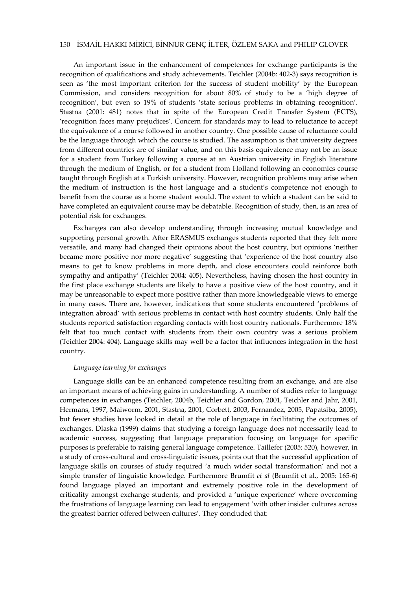# 150 İSMAİL HAKKI MİRİCİ, BİNNUR GENÇ İLTER, ÖZLEM SAKA and PHILIP GLOVER

An important issue in the enhancement of competences for exchange participants is the recognition of qualifications and study achievements. Teichler (2004b: 402-3) says recognition is seen as 'the most important criterion for the success of student mobility' by the European Commission, and considers recognition for about 80% of study to be a 'high degree of recognition', but even so 19% of students 'state serious problems in obtaining recognition'. Stastna (2001: 481) notes that in spite of the European Credit Transfer System (ECTS), 'recognition faces many prejudices'. Concern for standards may to lead to reluctance to accept the equivalence of a course followed in another country. One possible cause of reluctance could be the language through which the course is studied. The assumption is that university degrees from different countries are of similar value, and on this basis equivalence may not be an issue for a student from Turkey following a course at an Austrian university in English literature through the medium of English, or for a student from Holland following an economics course taught through English at a Turkish university. However, recognition problems may arise when the medium of instruction is the host language and a student's competence not enough to benefit from the course as a home student would. The extent to which a student can be said to have completed an equivalent course may be debatable. Recognition of study, then, is an area of potential risk for exchanges.

Exchanges can also develop understanding through increasing mutual knowledge and supporting personal growth. After ERASMUS exchanges students reported that they felt more versatile, and many had changed their opinions about the host country, but opinions 'neither became more positive nor more negative' suggesting that 'experience of the host country also means to get to know problems in more depth, and close encounters could reinforce both sympathy and antipathy' (Teichler 2004: 405). Nevertheless, having chosen the host country in the first place exchange students are likely to have a positive view of the host country, and it may be unreasonable to expect more positive rather than more knowledgeable views to emerge in many cases. There are, however, indications that some students encountered 'problems of integration abroad' with serious problems in contact with host country students. Only half the students reported satisfaction regarding contacts with host country nationals. Furthermore 18% felt that too much contact with students from their own country was a serious problem (Teichler 2004: 404). Language skills may well be a factor that influences integration in the host country.

### Language learning for exchanges

Language skills can be an enhanced competence resulting from an exchange, and are also an important means of achieving gains in understanding. A number of studies refer to language competences in exchanges (Teichler, 2004b, Teichler and Gordon, 2001, Teichler and Jahr, 2001, Hermans, 1997, Maiworm, 2001, Stastna, 2001, Corbett, 2003, Fernandez, 2005, Papatsiba, 2005), but fewer studies have looked in detail at the role of language in facilitating the outcomes of exchanges. Dlaska (1999) claims that studying a foreign language does not necessarily lead to academic success, suggesting that language preparation focusing on language for specific purposes is preferable to raising general language competence. Taillefer (2005: 520), however, in a study of cross-cultural and cross-linguistic issues, points out that the successful application of language skills on courses of study required 'a much wider social transformation' and not a simple transfer of linguistic knowledge. Furthermore Brumfit et al (Brumfit et al., 2005: 165-6) found language played an important and extremely positive role in the development of criticality amongst exchange students, and provided a 'unique experience' where overcoming the frustrations of language learning can lead to engagement 'with other insider cultures across the greatest barrier offered between cultures'. They concluded that: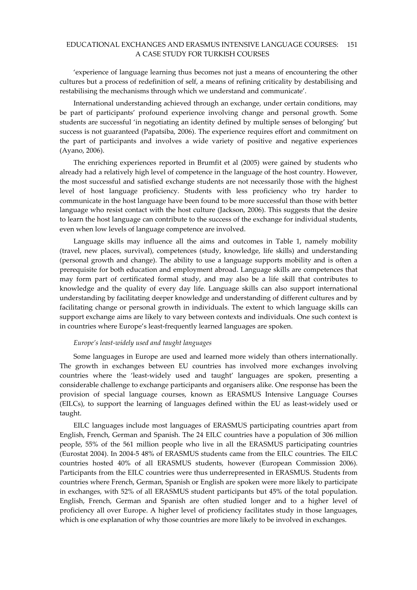'experience of language learning thus becomes not just a means of encountering the other cultures but a process of redefinition of self, a means of refining criticality by destabilising and restabilising the mechanisms through which we understand and communicate'.

International understanding achieved through an exchange, under certain conditions, may be part of participants' profound experience involving change and personal growth. Some students are successful 'in negotiating an identity defined by multiple senses of belonging' but success is not guaranteed (Papatsiba, 2006). The experience requires effort and commitment on the part of participants and involves a wide variety of positive and negative experiences (Ayano, 2006).

The enriching experiences reported in Brumfit et al (2005) were gained by students who already had a relatively high level of competence in the language of the host country. However, the most successful and satisfied exchange students are not necessarily those with the highest level of host language proficiency. Students with less proficiency who try harder to communicate in the host language have been found to be more successful than those with better language who resist contact with the host culture (Jackson, 2006). This suggests that the desire to learn the host language can contribute to the success of the exchange for individual students, even when low levels of language competence are involved.

Language skills may influence all the aims and outcomes in Table 1, namely mobility (travel, new places, survival), competences (study, knowledge, life skills) and understanding (personal growth and change). The ability to use a language supports mobility and is often a prerequisite for both education and employment abroad. Language skills are competences that may form part of certificated formal study, and may also be a life skill that contributes to knowledge and the quality of every day life. Language skills can also support international understanding by facilitating deeper knowledge and understanding of different cultures and by facilitating change or personal growth in individuals. The extent to which language skills can support exchange aims are likely to vary between contexts and individuals. One such context is in countries where Europe's least-frequently learned languages are spoken.

### Europe's least-widely used and taught languages

Some languages in Europe are used and learned more widely than others internationally. The growth in exchanges between EU countries has involved more exchanges involving countries where the 'least-widely used and taught' languages are spoken, presenting a considerable challenge to exchange participants and organisers alike. One response has been the provision of special language courses, known as ERASMUS Intensive Language Courses (EILCs), to support the learning of languages defined within the EU as least-widely used or taught.

EILC languages include most languages of ERASMUS participating countries apart from English, French, German and Spanish. The 24 EILC countries have a population of 306 million people, 55% of the 561 million people who live in all the ERASMUS participating countries (Eurostat 2004). In 2004-5 48% of ERASMUS students came from the EILC countries. The EILC countries hosted 40% of all ERASMUS students, however (European Commission 2006). Participants from the EILC countries were thus underrepresented in ERASMUS. Students from countries where French, German, Spanish or English are spoken were more likely to participate in exchanges, with 52% of all ERASMUS student participants but 45% of the total population. English, French, German and Spanish are often studied longer and to a higher level of proficiency all over Europe. A higher level of proficiency facilitates study in those languages, which is one explanation of why those countries are more likely to be involved in exchanges.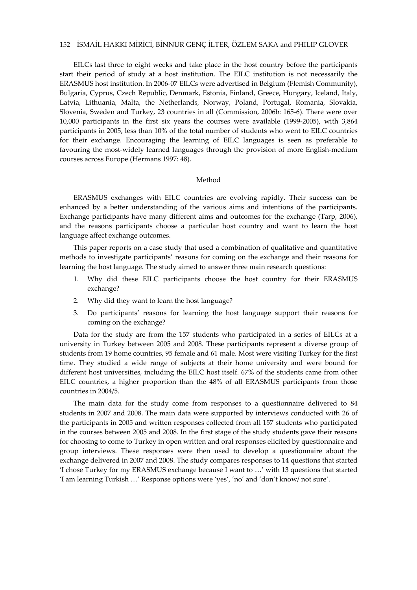# 152 İSMAİL HAKKI MİRİCİ, BİNNUR GENÇ İLTER, ÖZLEM SAKA and PHILIP GLOVER

EILCs last three to eight weeks and take place in the host country before the participants start their period of study at a host institution. The EILC institution is not necessarily the ERASMUS host institution. In 2006-07 EILCs were advertised in Belgium (Flemish Community), Bulgaria, Cyprus, Czech Republic, Denmark, Estonia, Finland, Greece, Hungary, Iceland, Italy, Latvia, Lithuania, Malta, the Netherlands, Norway, Poland, Portugal, Romania, Slovakia, Slovenia, Sweden and Turkey, 23 countries in all (Commission, 2006b: 165-6). There were over 10,000 participants in the first six years the courses were available (1999-2005), with 3,864 participants in 2005, less than 10% of the total number of students who went to EILC countries for their exchange. Encouraging the learning of EILC languages is seen as preferable to favouring the most-widely learned languages through the provision of more English-medium courses across Europe (Hermans 1997: 48).

# Method

ERASMUS exchanges with EILC countries are evolving rapidly. Their success can be enhanced by a better understanding of the various aims and intentions of the participants. Exchange participants have many different aims and outcomes for the exchange (Tarp, 2006), and the reasons participants choose a particular host country and want to learn the host language affect exchange outcomes.

This paper reports on a case study that used a combination of qualitative and quantitative methods to investigate participants' reasons for coming on the exchange and their reasons for learning the host language. The study aimed to answer three main research questions:

- 1. Why did these EILC participants choose the host country for their ERASMUS exchange?
- 2. Why did they want to learn the host language?
- 3. Do participants' reasons for learning the host language support their reasons for coming on the exchange?

Data for the study are from the 157 students who participated in a series of EILCs at a university in Turkey between 2005 and 2008. These participants represent a diverse group of students from 19 home countries, 95 female and 61 male. Most were visiting Turkey for the first time. They studied a wide range of subjects at their home university and were bound for different host universities, including the EILC host itself. 67% of the students came from other EILC countries, a higher proportion than the 48% of all ERASMUS participants from those countries in 2004/5.

The main data for the study come from responses to a questionnaire delivered to 84 students in 2007 and 2008. The main data were supported by interviews conducted with 26 of the participants in 2005 and written responses collected from all 157 students who participated in the courses between 2005 and 2008. In the first stage of the study students gave their reasons for choosing to come to Turkey in open written and oral responses elicited by questionnaire and group interviews. These responses were then used to develop a questionnaire about the exchange delivered in 2007 and 2008. The study compares responses to 14 questions that started 'I chose Turkey for my ERASMUS exchange because I want to …' with 13 questions that started 'I am learning Turkish …' Response options were 'yes', 'no' and 'don't know/ not sure'.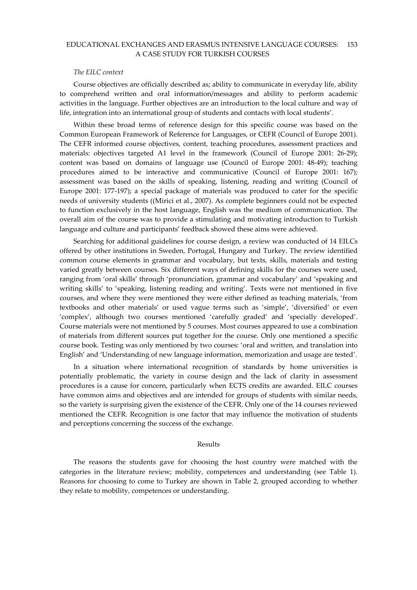### The EILC context

Course objectives are officially described as; ability to communicate in everyday life, ability to comprehend written and oral information/messages and ability to perform academic activities in the language. Further objectives are an introduction to the local culture and way of life, integration into an international group of students and contacts with local students'.

Within these broad terms of reference design for this specific course was based on the Common European Framework of Reference for Languages, or CEFR (Council of Europe 2001). The CEFR informed course objectives, content, teaching procedures, assessment practices and materials: objectives targeted A1 level in the framework (Council of Europe 2001: 26-29); content was based on domains of language use (Council of Europe 2001: 48-49); teaching procedures aimed to be interactive and communicative (Council of Europe 2001: 167); assessment was based on the skills of speaking, listening, reading and writing (Council of Europe 2001: 177-197); a special package of materials was produced to cater for the specific needs of university students ((Mirici et al., 2007). As complete beginners could not be expected to function exclusively in the host language, English was the medium of communication. The overall aim of the course was to provide a stimulating and motivating introduction to Turkish language and culture and participants' feedback showed these aims were achieved.

Searching for additional guidelines for course design, a review was conducted of 14 EILCs offered by other institutions in Sweden, Portugal, Hungary and Turkey. The review identified common course elements in grammar and vocabulary, but texts, skills, materials and testing varied greatly between courses. Six different ways of defining skills for the courses were used, ranging from 'oral skills' through 'pronunciation, grammar and vocabulary' and 'speaking and writing skills' to 'speaking, listening reading and writing'. Texts were not mentioned in five courses, and where they were mentioned they were either defined as teaching materials, 'from textbooks and other materials' or used vague terms such as 'simple', 'diversified' or even 'complex', although two courses mentioned 'carefully graded' and 'specially developed'. Course materials were not mentioned by 5 courses. Most courses appeared to use a combination of materials from different sources put together for the course. Only one mentioned a specific course book. Testing was only mentioned by two courses: 'oral and written, and translation into English' and 'Understanding of new language information, memorization and usage are tested'.

In a situation where international recognition of standards by home universities is potentially problematic, the variety in course design and the lack of clarity in assessment procedures is a cause for concern, particularly when ECTS credits are awarded. EILC courses have common aims and objectives and are intended for groups of students with similar needs, so the variety is surprising given the existence of the CEFR. Only one of the 14 courses reviewed mentioned the CEFR. Recognition is one factor that may influence the motivation of students and perceptions concerning the success of the exchange.

### Results

The reasons the students gave for choosing the host country were matched with the categories in the literature review; mobility, competences and understanding (see Table 1). Reasons for choosing to come to Turkey are shown in Table 2, grouped according to whether they relate to mobility, competences or understanding.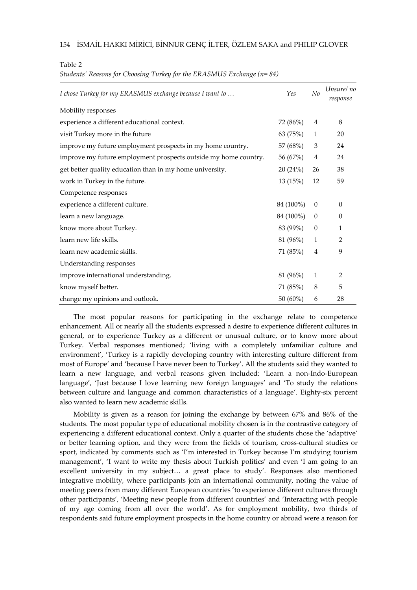Table 2

Students' Reasons for Choosing Turkey for the ERASMUS Exchange  $(n=84)$ 

| I chose Turkey for my ERASMUS exchange because I want to        |             | No             | Unsurel no<br>response |
|-----------------------------------------------------------------|-------------|----------------|------------------------|
| Mobility responses                                              |             |                |                        |
| experience a different educational context.                     | 72 (86%)    | 4              | 8                      |
| visit Turkey more in the future                                 | 63 (75%)    | $\mathbf{1}$   | 20                     |
| improve my future employment prospects in my home country.      | 57 (68%)    | 3              | 24                     |
| improve my future employment prospects outside my home country. | 56 (67%)    | $\overline{4}$ | 24                     |
| get better quality education than in my home university.        | 20(24%)     | 26             | 38                     |
| work in Turkey in the future.                                   | 13(15%)     | 12             | 59                     |
| Competence responses                                            |             |                |                        |
| experience a different culture.                                 | 84 (100%)   | $\theta$       | $\theta$               |
| learn a new language.                                           | 84 (100%)   | $\theta$       | $\theta$               |
| know more about Turkey.                                         | 83 (99%)    | $\theta$       | 1                      |
| learn new life skills.                                          | 81 (96%)    | $\mathbf{1}$   | $\overline{2}$         |
| learn new academic skills.                                      | 71 (85%)    | 4              | 9                      |
| Understanding responses                                         |             |                |                        |
| improve international understanding.                            | 81 (96%)    | $\mathbf{1}$   | 2                      |
| know myself better.                                             | 71 (85%)    | 8              | 5                      |
| change my opinions and outlook.                                 | 50 $(60\%)$ | 6              | 28                     |

The most popular reasons for participating in the exchange relate to competence enhancement. All or nearly all the students expressed a desire to experience different cultures in general, or to experience Turkey as a different or unusual culture, or to know more about Turkey. Verbal responses mentioned; 'living with a completely unfamiliar culture and environment', 'Turkey is a rapidly developing country with interesting culture different from most of Europe' and 'because I have never been to Turkey'. All the students said they wanted to learn a new language, and verbal reasons given included: 'Learn a non-Indo-European language', 'Just because I love learning new foreign languages' and 'To study the relations between culture and language and common characteristics of a language'. Eighty-six percent also wanted to learn new academic skills.

Mobility is given as a reason for joining the exchange by between 67% and 86% of the students. The most popular type of educational mobility chosen is in the contrastive category of experiencing a different educational context. Only a quarter of the students chose the 'adaptive' or better learning option, and they were from the fields of tourism, cross-cultural studies or sport, indicated by comments such as 'I'm interested in Turkey because I'm studying tourism management', 'I want to write my thesis about Turkish politics' and even 'I am going to an excellent university in my subject… a great place to study'. Responses also mentioned integrative mobility, where participants join an international community, noting the value of meeting peers from many different European countries 'to experience different cultures through other participants', 'Meeting new people from different countries' and 'Interacting with people of my age coming from all over the world'. As for employment mobility, two thirds of respondents said future employment prospects in the home country or abroad were a reason for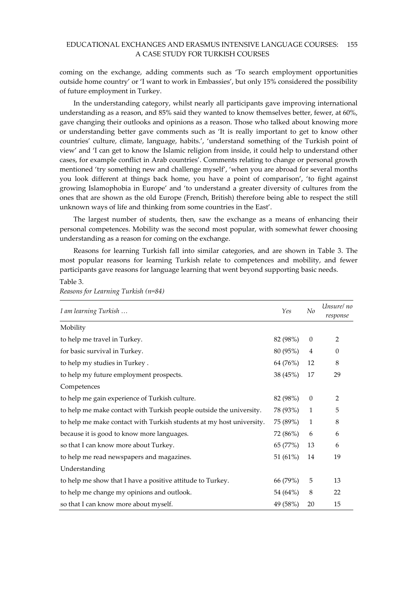coming on the exchange, adding comments such as 'To search employment opportunities outside home country' or 'I want to work in Embassies', but only 15% considered the possibility of future employment in Turkey.

In the understanding category, whilst nearly all participants gave improving international understanding as a reason, and 85% said they wanted to know themselves better, fewer, at 60%, gave changing their outlooks and opinions as a reason. Those who talked about knowing more or understanding better gave comments such as 'It is really important to get to know other countries' culture, climate, language, habits.', 'understand something of the Turkish point of view' and 'I can get to know the Islamic religion from inside, it could help to understand other cases, for example conflict in Arab countries'. Comments relating to change or personal growth mentioned 'try something new and challenge myself', 'when you are abroad for several months you look different at things back home, you have a point of comparison', 'to fight against growing Islamophobia in Europe' and 'to understand a greater diversity of cultures from the ones that are shown as the old Europe (French, British) therefore being able to respect the still unknown ways of life and thinking from some countries in the East'.

The largest number of students, then, saw the exchange as a means of enhancing their personal competences. Mobility was the second most popular, with somewhat fewer choosing understanding as a reason for coming on the exchange.

Reasons for learning Turkish fall into similar categories, and are shown in Table 3. The most popular reasons for learning Turkish relate to competences and mobility, and fewer participants gave reasons for language learning that went beyond supporting basic needs.

| I am learning Turkish                                                |          | No           | Unsure/no<br>response |
|----------------------------------------------------------------------|----------|--------------|-----------------------|
| Mobility                                                             |          |              |                       |
| to help me travel in Turkey.                                         | 82 (98%) | $\theta$     | $\overline{2}$        |
| for basic survival in Turkey.                                        | 80 (95%) | 4            | $\theta$              |
| to help my studies in Turkey.                                        | 64 (76%) | 12           | 8                     |
| to help my future employment prospects.                              | 38 (45%) | 17           | 29                    |
| Competences                                                          |          |              |                       |
| to help me gain experience of Turkish culture.                       | 82 (98%) | $\theta$     | $\overline{2}$        |
| to help me make contact with Turkish people outside the university.  | 78 (93%) | $\mathbf{1}$ | 5                     |
| to help me make contact with Turkish students at my host university. | 75 (89%) | $\mathbf{1}$ | 8                     |
| because it is good to know more languages.                           | 72 (86%) | 6            | 6                     |
| so that I can know more about Turkey.                                | 65 (77%) | 13           | 6                     |
| to help me read newspapers and magazines.                            | 51 (61%) | 14           | 19                    |
| Understanding                                                        |          |              |                       |
| to help me show that I have a positive attitude to Turkey.           | 66 (79%) | 5            | 13                    |
| to help me change my opinions and outlook.                           | 54 (64%) | 8            | 22                    |
| so that I can know more about myself.                                | 49 (58%) | 20           | 15                    |

# Reasons for Learning Turkish (n=84)

Table 3.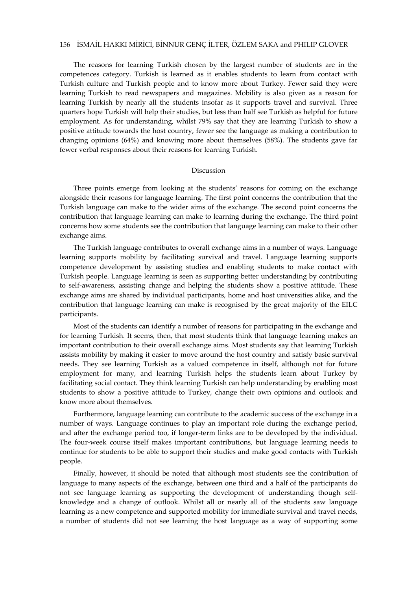# 156 İSMAİL HAKKI MİRİCİ, BİNNUR GENÇ İLTER, ÖZLEM SAKA and PHILIP GLOVER

The reasons for learning Turkish chosen by the largest number of students are in the competences category. Turkish is learned as it enables students to learn from contact with Turkish culture and Turkish people and to know more about Turkey. Fewer said they were learning Turkish to read newspapers and magazines. Mobility is also given as a reason for learning Turkish by nearly all the students insofar as it supports travel and survival. Three quarters hope Turkish will help their studies, but less than half see Turkish as helpful for future employment. As for understanding, whilst 79% say that they are learning Turkish to show a positive attitude towards the host country, fewer see the language as making a contribution to changing opinions (64%) and knowing more about themselves (58%). The students gave far fewer verbal responses about their reasons for learning Turkish.

### Discussion

Three points emerge from looking at the students' reasons for coming on the exchange alongside their reasons for language learning. The first point concerns the contribution that the Turkish language can make to the wider aims of the exchange. The second point concerns the contribution that language learning can make to learning during the exchange. The third point concerns how some students see the contribution that language learning can make to their other exchange aims.

The Turkish language contributes to overall exchange aims in a number of ways. Language learning supports mobility by facilitating survival and travel. Language learning supports competence development by assisting studies and enabling students to make contact with Turkish people. Language learning is seen as supporting better understanding by contributing to self-awareness, assisting change and helping the students show a positive attitude. These exchange aims are shared by individual participants, home and host universities alike, and the contribution that language learning can make is recognised by the great majority of the EILC participants.

Most of the students can identify a number of reasons for participating in the exchange and for learning Turkish. It seems, then, that most students think that language learning makes an important contribution to their overall exchange aims. Most students say that learning Turkish assists mobility by making it easier to move around the host country and satisfy basic survival needs. They see learning Turkish as a valued competence in itself, although not for future employment for many, and learning Turkish helps the students learn about Turkey by facilitating social contact. They think learning Turkish can help understanding by enabling most students to show a positive attitude to Turkey, change their own opinions and outlook and know more about themselves.

Furthermore, language learning can contribute to the academic success of the exchange in a number of ways. Language continues to play an important role during the exchange period, and after the exchange period too, if longer-term links are to be developed by the individual. The four-week course itself makes important contributions, but language learning needs to continue for students to be able to support their studies and make good contacts with Turkish people.

Finally, however, it should be noted that although most students see the contribution of language to many aspects of the exchange, between one third and a half of the participants do not see language learning as supporting the development of understanding though selfknowledge and a change of outlook. Whilst all or nearly all of the students saw language learning as a new competence and supported mobility for immediate survival and travel needs, a number of students did not see learning the host language as a way of supporting some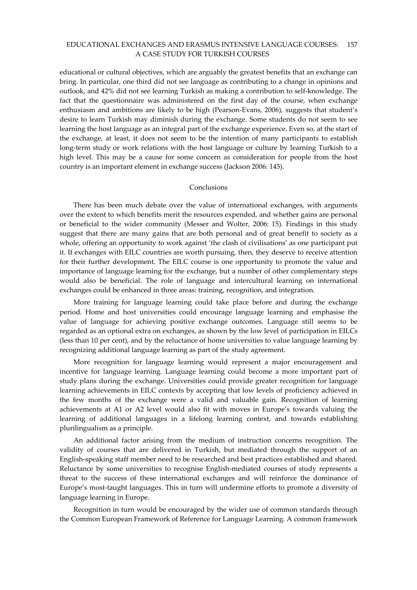educational or cultural objectives, which are arguably the greatest benefits that an exchange can bring. In particular, one third did not see language as contributing to a change in opinions and outlook, and 42% did not see learning Turkish as making a contribution to self-knowledge. The fact that the questionnaire was administered on the first day of the course, when exchange enthusiasm and ambitions are likely to be high (Pearson-Evans, 2006), suggests that student's desire to learn Turkish may diminish during the exchange. Some students do not seem to see learning the host language as an integral part of the exchange experience. Even so, at the start of the exchange, at least, it does not seem to be the intention of many participants to establish long-term study or work relations with the host language or culture by learning Turkish to a high level. This may be a cause for some concern as consideration for people from the host country is an important element in exchange success (Jackson 2006: 145).

## Conclusions

There has been much debate over the value of international exchanges, with arguments over the extent to which benefits merit the resources expended, and whether gains are personal or beneficial to the wider community (Messer and Wolter, 2006: 15). Findings in this study suggest that there are many gains that are both personal and of great benefit to society as a whole, offering an opportunity to work against 'the clash of civilisations' as one participant put it. If exchanges with EILC countries are worth pursuing, then, they deserve to receive attention for their further development. The EILC course is one opportunity to promote the value and importance of language learning for the exchange, but a number of other complementary steps would also be beneficial. The role of language and intercultural learning on international exchanges could be enhanced in three areas: training, recognition, and integration.

More training for language learning could take place before and during the exchange period. Home and host universities could encourage language learning and emphasise the value of language for achieving positive exchange outcomes. Language still seems to be regarded as an optional extra on exchanges, as shown by the low level of participation in EILCs (less than 10 per cent), and by the reluctance of home universities to value language learning by recognizing additional language learning as part of the study agreement.

More recognition for language learning would represent a major encouragement and incentive for language learning. Language learning could become a more important part of study plans during the exchange. Universities could provide greater recognition for language learning achievements in EILC contexts by accepting that low levels of proficiency achieved in the few months of the exchange were a valid and valuable gain. Recognition of learning achievements at A1 or A2 level would also fit with moves in Europe's towards valuing the learning of additional languages in a lifelong learning context, and towards establishing plurilingualism as a principle.

An additional factor arising from the medium of instruction concerns recognition. The validity of courses that are delivered in Turkish, but mediated through the support of an English-speaking staff member need to be researched and best practices established and shared. Reluctance by some universities to recognise English-mediated courses of study represents a threat to the success of these international exchanges and will reinforce the dominance of Europe's most-taught languages. This in turn will undermine efforts to promote a diversity of language learning in Europe.

Recognition in turn would be encouraged by the wider use of common standards through the Common European Framework of Reference for Language Learning. A common framework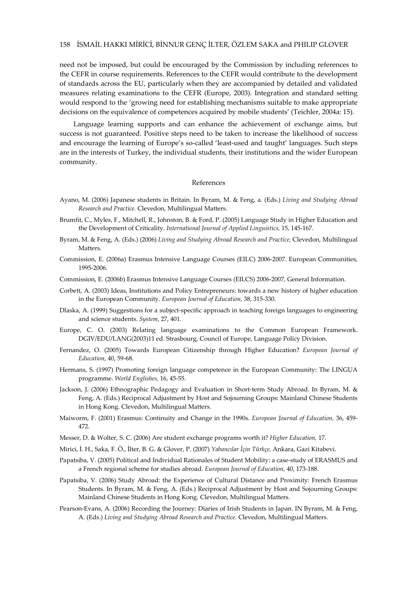need not be imposed, but could be encouraged by the Commission by including references to the CEFR in course requirements. References to the CEFR would contribute to the development of standards across the EU, particularly when they are accompanied by detailed and validated measures relating examinations to the CEFR (Europe, 2003). Integration and standard setting would respond to the 'growing need for establishing mechanisms suitable to make appropriate decisions on the equivalence of competences acquired by mobile students' (Teichler, 2004a: 15).

Language learning supports and can enhance the achievement of exchange aims, but success is not guaranteed. Positive steps need to be taken to increase the likelihood of success and encourage the learning of Europe's so-called 'least-used and taught' languages. Such steps are in the interests of Turkey, the individual students, their institutions and the wider European community.

### References

- Ayano, M. (2006) Japanese students in Britain. In Byram, M. & Feng, a. (Eds.) Living and Studying Abroad Research and Practice. Clevedon, Multilingual Matters.
- Brumfit, C., Myles, F., Mitchell, R., Johnston, B. & Ford, P. (2005) Language Study in Higher Education and the Development of Criticality. International Journal of Applied Linguistics, 15, 145-167.
- Byram, M. & Feng, A. (Eds.) (2006) Living and Studying Abroad Research and Practice, Clevedon, Multilingual **Matters**
- Commission, E. (2006a) Erasmus Intensive Language Courses (EILC) 2006-2007. European Communities, 1995-2006.
- Commission, E. (2006b) Erasmus Intensive Language Courses (EILCS) 2006-2007, General Information.
- Corbett, A. (2003) Ideas, Institutions and Policy Entrepreneurs: towards a new history of higher education in the European Community. European Journal of Education, 38, 315-330.
- Dlaska, A. (1999) Suggestions for a subject-specific approach in teaching foreign languages to engineering and science students. System, 27, 401.
- Europe, C. O. (2003) Relating language examinations to the Common European Framework. DGIV/EDU/LANG(2003)11 ed. Strasbourg, Council of Europe, Language Policy Division.
- Fernandez, O. (2005) Towards European Citizenship through Higher Education? European Journal of Education, 40, 59-68.
- Hermans, S. (1997) Promoting foreign language competence in the European Community: The LINGUA programme. World Englishes, 16, 45-55.
- Jackson, J. (2006) Ethnographic Pedagogy and Evaluation in Short-term Study Abroad. In Byram, M. & Feng, A. (Eds.) Reciprocal Adjustment by Host and Sojourning Groups: Mainland Chinese Students in Hong Kong. Clevedon, Multilingual Matters.
- Maiworm, F. (2001) Erasmus: Continuity and Change in the 1990s. European Journal of Education, 36, 459- 472.
- Messer, D. & Wolter, S. C. (2006) Are student exchange programs worth it? Higher Education, 17.
- Mirici, İ. H., Saka, F. Ö., İlter, B. G. & Glover, P. (2007) Yabancılar İçin Türkçe, Ankara, Gazi Kitabevi.
- Papatsiba, V. (2005) Political and Individual Rationales of Student Mobility: a case-study of ERASMUS and a French regional scheme for studies abroad. European Journal of Education, 40, 173-188.
- Papatsiba, V. (2006) Study Abroad: the Experience of Cultural Distance and Proximity: French Erasmus Students. In Byram, M. & Feng, A. (Eds.) Reciprocal Adjustment by Host and Sojourning Groups: Mainland Chinese Students in Hong Kong. Clevedon, Multilingual Matters.
- Pearson-Evans, A. (2006) Recording the Journey: Diaries of Irish Students in Japan. IN Byram, M. & Feng, A. (Eds.) Living and Studying Abroad Research and Practice. Clevedon, Multilingual Matters.